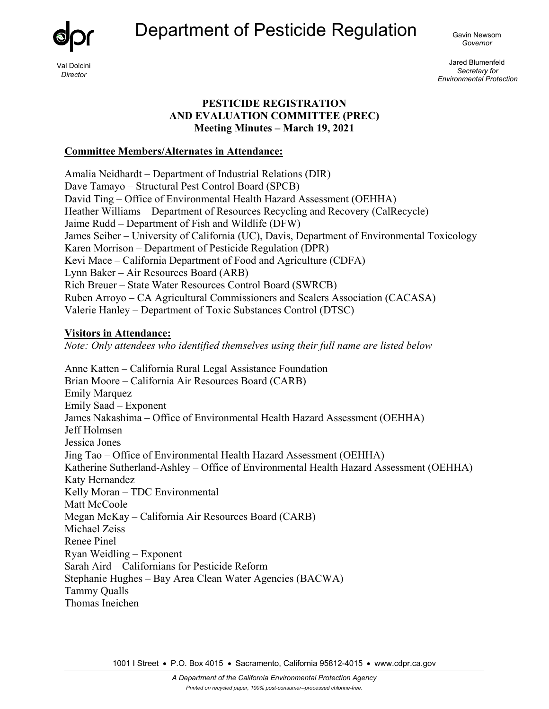Department of Pesticide Regulation <sub>Gavin Newsom</sub>



Val Dolcini *Director* 

*Governor* 

Jared Blumenfeld *Secretary for Environmental Protection* 

#### **PESTICIDE REGISTRATION AND EVALUATION COMMITTEE (PREC) Meeting Minutes – March 19, 2021**

#### **Committee Members/Alternates in Attendance:**

Amalia Neidhardt – Department of Industrial Relations (DIR) Dave Tamayo – Structural Pest Control Board (SPCB) David Ting – Office of Environmental Health Hazard Assessment (OEHHA) Heather Williams – Department of Resources Recycling and Recovery (CalRecycle) Jaime Rudd – Department of Fish and Wildlife (DFW) James Seiber – University of California (UC), Davis, Department of Environmental Toxicology Karen Morrison – Department of Pesticide Regulation (DPR) Kevi Mace – California Department of Food and Agriculture (CDFA) Lynn Baker – Air Resources Board (ARB) Rich Breuer – State Water Resources Control Board (SWRCB) Ruben Arroyo – CA Agricultural Commissioners and Sealers Association (CACASA) Valerie Hanley – Department of Toxic Substances Control (DTSC)

#### **Visitors in Attendance:**

*Note: Only attendees who identified themselves using their full name are listed below*

Anne Katten – California Rural Legal Assistance Foundation Brian Moore – California Air Resources Board (CARB) Emily Marquez Emily Saad – Exponent James Nakashima – Office of Environmental Health Hazard Assessment (OEHHA) Jeff Holmsen Jessica Jones Jing Tao – Office of Environmental Health Hazard Assessment (OEHHA) Katherine Sutherland-Ashley – Office of Environmental Health Hazard Assessment (OEHHA) Katy Hernandez Kelly Moran – TDC Environmental Matt McCoole Megan McKay – California Air Resources Board (CARB) Michael Zeiss Renee Pinel Ryan Weidling – Exponent Sarah Aird – Californians for Pesticide Reform Stephanie Hughes – Bay Area Clean Water Agencies (BACWA) Tammy Qualls Thomas Ineichen

1001 I Street • P.O. Box 4015 • Sacramento, California 95812-4015 • www.cdpr.ca.gov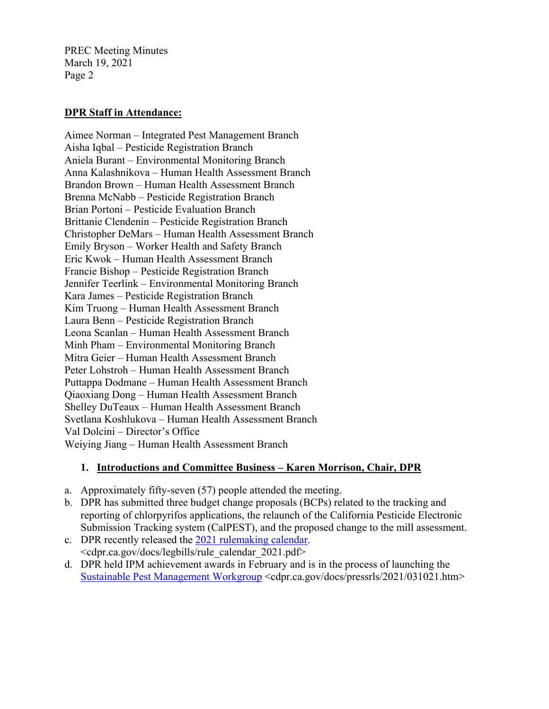#### **DPR Staff in Attendance:**

Aimee Norman – Integrated Pest Management Branch Aisha Iqbal – Pesticide Registration Branch Aniela Burant – Environmental Monitoring Branch Anna Kalashnikova – Human Health Assessment Branch Brandon Brown – Human Health Assessment Branch Brenna McNabb – Pesticide Registration Branch Brian Portoni – Pesticide Evaluation Branch Brittanie Clendenin – Pesticide Registration Branch Christopher DeMars – Human Health Assessment Branch Emily Bryson – Worker Health and Safety Branch Eric Kwok – Human Health Assessment Branch Francie Bishop – Pesticide Registration Branch Jennifer Teerlink – Environmental Monitoring Branch Kara James – Pesticide Registration Branch Kim Truong – Human Health Assessment Branch Laura Benn – Pesticide Registration Branch Leona Scanlan – Human Health Assessment Branch Minh Pham – Environmental Monitoring Branch Mitra Geier – Human Health Assessment Branch Peter Lohstroh – Human Health Assessment Branch Puttappa Dodmane – Human Health Assessment Branch Qiaoxiang Dong – Human Health Assessment Branch Shelley DuTeaux – Human Health Assessment Branch Svetlana Koshlukova – Human Health Assessment Branch Val Dolcini – Director's Office Weiying Jiang – Human Health Assessment Branch

# **1. Introductions and Committee Business – Karen Morrison, Chair, DPR**

- a. Approximately fifty-seven (57) people attended the meeting.
- b. DPR has submitted three budget change proposals (BCPs) related to the tracking and reporting of chlorpyrifos applications, the relaunch of the California Pesticide Electronic Submission Tracking system (CalPEST), and the proposed change to the mill assessment.
- c. DPR recently released the [2021 rulemaking calendar.](https://www.cdpr.ca.gov/docs/legbills/rule_calendar_2021.pdf) <cdpr.ca.gov/docs/legbills/rule\_calendar\_2021.pdf>
- d. DPR held IPM achievement awards in February and is in the process of launching the [Sustainable Pest Management Workgroup](https://www.cdpr.ca.gov/docs/pressrls/2021/031021.htm) <cdpr.ca.gov/docs/pressrls/2021/031021.htm>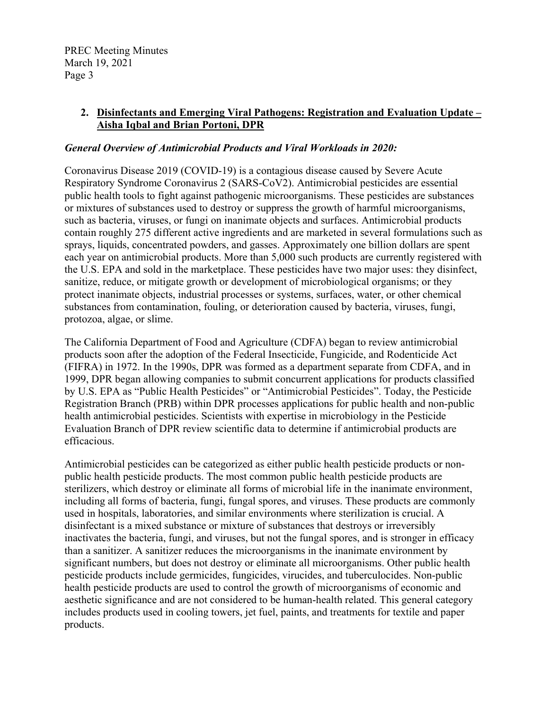#### **2. Disinfectants and Emerging Viral Pathogens: Registration and Evaluation Update – Aisha Iqbal and Brian Portoni, DPR**

#### *General Overview of Antimicrobial Products and Viral Workloads in 2020:*

Coronavirus Disease 2019 (COVID-19) is a contagious disease caused by Severe Acute Respiratory Syndrome Coronavirus 2 (SARS-CoV2). Antimicrobial pesticides are essential public health tools to fight against pathogenic microorganisms. These pesticides are substances or mixtures of substances used to destroy or suppress the growth of harmful microorganisms, such as bacteria, viruses, or fungi on inanimate objects and surfaces. Antimicrobial products contain roughly 275 different active ingredients and are marketed in several formulations such as sprays, liquids, concentrated powders, and gasses. Approximately one billion dollars are spent each year on antimicrobial products. More than 5,000 such products are currently registered with the U.S. EPA and sold in the marketplace. These pesticides have two major uses: they disinfect, sanitize, reduce, or mitigate growth or development of microbiological organisms; or they protect inanimate objects, industrial processes or systems, surfaces, water, or other chemical substances from contamination, fouling, or deterioration caused by bacteria, viruses, fungi, protozoa, algae, or slime.

The California Department of Food and Agriculture (CDFA) began to review antimicrobial products soon after the adoption of the Federal Insecticide, Fungicide, and Rodenticide Act (FIFRA) in 1972. In the 1990s, DPR was formed as a department separate from CDFA, and in 1999, DPR began allowing companies to submit concurrent applications for products classified by U.S. EPA as "Public Health Pesticides" or "Antimicrobial Pesticides". Today, the Pesticide Registration Branch (PRB) within DPR processes applications for public health and non-public health antimicrobial pesticides. Scientists with expertise in microbiology in the Pesticide Evaluation Branch of DPR review scientific data to determine if antimicrobial products are efficacious.

Antimicrobial pesticides can be categorized as either public health pesticide products or nonpublic health pesticide products. The most common public health pesticide products are sterilizers, which destroy or eliminate all forms of microbial life in the inanimate environment, including all forms of bacteria, fungi, fungal spores, and viruses. These products are commonly used in hospitals, laboratories, and similar environments where sterilization is crucial. A disinfectant is a mixed substance or mixture of substances that destroys or irreversibly inactivates the bacteria, fungi, and viruses, but not the fungal spores, and is stronger in efficacy than a sanitizer. A sanitizer reduces the microorganisms in the inanimate environment by significant numbers, but does not destroy or eliminate all microorganisms. Other public health pesticide products include germicides, fungicides, virucides, and tuberculocides. Non-public health pesticide products are used to control the growth of microorganisms of economic and aesthetic significance and are not considered to be human-health related. This general category includes products used in cooling towers, jet fuel, paints, and treatments for textile and paper products.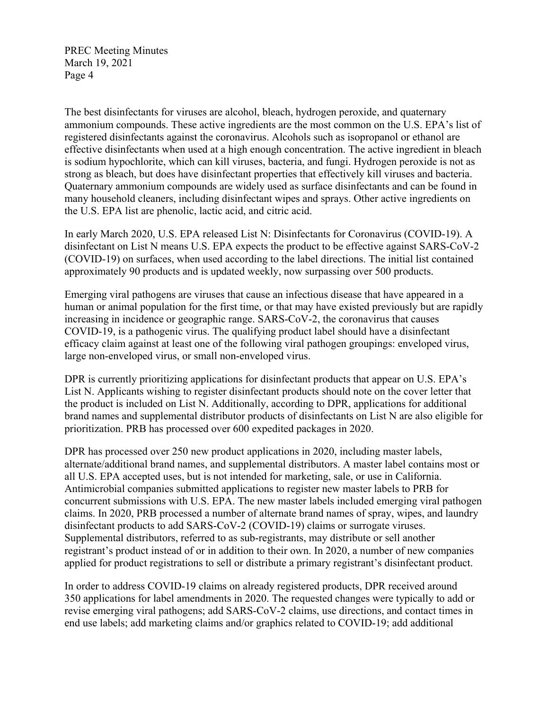The best disinfectants for viruses are alcohol, bleach, hydrogen peroxide, and quaternary ammonium compounds. These active ingredients are the most common on the U.S. EPA's list of registered disinfectants against the coronavirus. Alcohols such as isopropanol or ethanol are effective disinfectants when used at a high enough concentration. The active ingredient in bleach is sodium hypochlorite, which can kill viruses, bacteria, and fungi. Hydrogen peroxide is not as strong as bleach, but does have disinfectant properties that effectively kill viruses and bacteria. Quaternary ammonium compounds are widely used as surface disinfectants and can be found in many household cleaners, including disinfectant wipes and sprays. Other active ingredients on the U.S. EPA list are phenolic, lactic acid, and citric acid.

In early March 2020, U.S. EPA released List N: Disinfectants for Coronavirus (COVID-19). A disinfectant on List N means U.S. EPA expects the product to be effective against SARS-CoV-2 (COVID-19) on surfaces, when used according to the label directions. The initial list contained approximately 90 products and is updated weekly, now surpassing over 500 products.

Emerging viral pathogens are viruses that cause an infectious disease that have appeared in a human or animal population for the first time, or that may have existed previously but are rapidly increasing in incidence or geographic range. SARS-CoV-2, the coronavirus that causes COVID-19, is a pathogenic virus. The qualifying product label should have a disinfectant efficacy claim against at least one of the following viral pathogen groupings: enveloped virus, large non-enveloped virus, or small non-enveloped virus.

DPR is currently prioritizing applications for disinfectant products that appear on U.S. EPA's List N. Applicants wishing to register disinfectant products should note on the cover letter that the product is included on List N. Additionally, according to DPR, applications for additional brand names and supplemental distributor products of disinfectants on List N are also eligible for prioritization. PRB has processed over 600 expedited packages in 2020.

DPR has processed over 250 new product applications in 2020, including master labels, alternate/additional brand names, and supplemental distributors. A master label contains most or all U.S. EPA accepted uses, but is not intended for marketing, sale, or use in California. Antimicrobial companies submitted applications to register new master labels to PRB for concurrent submissions with U.S. EPA. The new master labels included emerging viral pathogen claims. In 2020, PRB processed a number of alternate brand names of spray, wipes, and laundry disinfectant products to add SARS-CoV-2 (COVID-19) claims or surrogate viruses. Supplemental distributors, referred to as sub-registrants, may distribute or sell another registrant's product instead of or in addition to their own. In 2020, a number of new companies applied for product registrations to sell or distribute a primary registrant's disinfectant product.

In order to address COVID-19 claims on already registered products, DPR received around 350 applications for label amendments in 2020. The requested changes were typically to add or revise emerging viral pathogens; add SARS-CoV-2 claims, use directions, and contact times in end use labels; add marketing claims and/or graphics related to COVID-19; add additional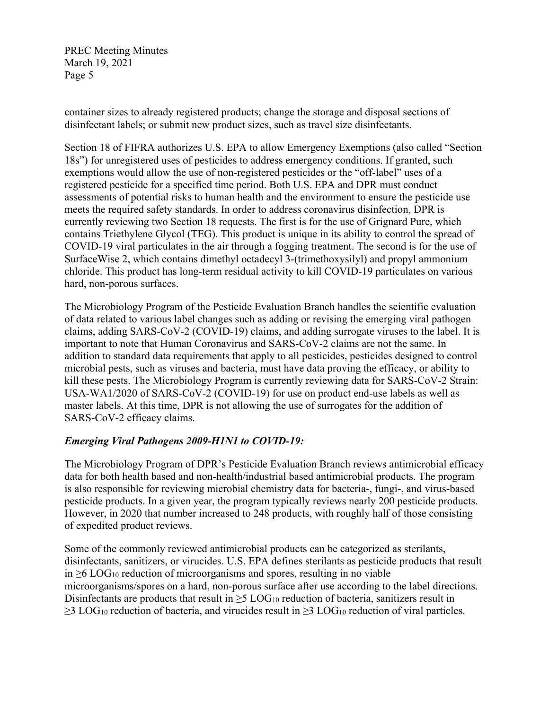container sizes to already registered products; change the storage and disposal sections of disinfectant labels; or submit new product sizes, such as travel size disinfectants.

Section 18 of FIFRA authorizes U.S. EPA to allow Emergency Exemptions (also called "Section 18s") for unregistered uses of pesticides to address emergency conditions. If granted, such exemptions would allow the use of non-registered pesticides or the "off-label" uses of a registered pesticide for a specified time period. Both U.S. EPA and DPR must conduct assessments of potential risks to human health and the environment to ensure the pesticide use meets the required safety standards. In order to address coronavirus disinfection, DPR is currently reviewing two Section 18 requests. The first is for the use of Grignard Pure, which contains Triethylene Glycol (TEG). This product is unique in its ability to control the spread of COVID-19 viral particulates in the air through a fogging treatment. The second is for the use of SurfaceWise 2, which contains dimethyl octadecyl 3-(trimethoxysilyl) and propyl ammonium chloride. This product has long-term residual activity to kill COVID-19 particulates on various hard, non-porous surfaces.

The Microbiology Program of the Pesticide Evaluation Branch handles the scientific evaluation of data related to various label changes such as adding or revising the emerging viral pathogen claims, adding SARS-CoV-2 (COVID-19) claims, and adding surrogate viruses to the label. It is important to note that Human Coronavirus and SARS-CoV-2 claims are not the same. In addition to standard data requirements that apply to all pesticides, pesticides designed to control microbial pests, such as viruses and bacteria, must have data proving the efficacy, or ability to kill these pests. The Microbiology Program is currently reviewing data for SARS-CoV-2 Strain: USA-WA1/2020 of SARS-CoV-2 (COVID-19) for use on product end-use labels as well as master labels. At this time, DPR is not allowing the use of surrogates for the addition of SARS-CoV-2 efficacy claims.

# *Emerging Viral Pathogens 2009-H1N1 to COVID-19:*

The Microbiology Program of DPR's Pesticide Evaluation Branch reviews antimicrobial efficacy data for both health based and non-health/industrial based antimicrobial products. The program is also responsible for reviewing microbial chemistry data for bacteria-, fungi-, and virus-based pesticide products. In a given year, the program typically reviews nearly 200 pesticide products. However, in 2020 that number increased to 248 products, with roughly half of those consisting of expedited product reviews.

Some of the commonly reviewed antimicrobial products can be categorized as sterilants, disinfectants, sanitizers, or virucides. U.S. EPA defines sterilants as pesticide products that result in ≥6 LOG<sup>10</sup> reduction of microorganisms and spores, resulting in no viable microorganisms/spores on a hard, non-porous surface after use according to the label directions. Disinfectants are products that result in  $\geq$ 5 LOG<sub>10</sub> reduction of bacteria, sanitizers result in  $\geq$ 3 LOG<sub>10</sub> reduction of bacteria, and virucides result in  $\geq$ 3 LOG<sub>10</sub> reduction of viral particles.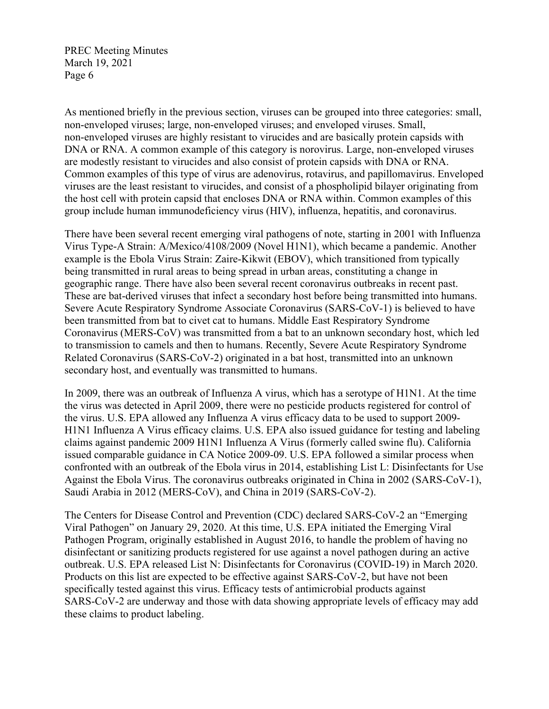As mentioned briefly in the previous section, viruses can be grouped into three categories: small, non-enveloped viruses; large, non-enveloped viruses; and enveloped viruses. Small, non-enveloped viruses are highly resistant to virucides and are basically protein capsids with DNA or RNA. A common example of this category is norovirus. Large, non-enveloped viruses are modestly resistant to virucides and also consist of protein capsids with DNA or RNA. Common examples of this type of virus are adenovirus, rotavirus, and papillomavirus. Enveloped viruses are the least resistant to virucides, and consist of a phospholipid bilayer originating from the host cell with protein capsid that encloses DNA or RNA within. Common examples of this group include human immunodeficiency virus (HIV), influenza, hepatitis, and coronavirus.

There have been several recent emerging viral pathogens of note, starting in 2001 with Influenza Virus Type-A Strain: A/Mexico/4108/2009 (Novel H1N1), which became a pandemic. Another example is the Ebola Virus Strain: Zaire-Kikwit (EBOV), which transitioned from typically being transmitted in rural areas to being spread in urban areas, constituting a change in geographic range. There have also been several recent coronavirus outbreaks in recent past. These are bat-derived viruses that infect a secondary host before being transmitted into humans. Severe Acute Respiratory Syndrome Associate Coronavirus (SARS-CoV-1) is believed to have been transmitted from bat to civet cat to humans. Middle East Respiratory Syndrome Coronavirus (MERS-CoV) was transmitted from a bat to an unknown secondary host, which led to transmission to camels and then to humans. Recently, Severe Acute Respiratory Syndrome Related Coronavirus (SARS-CoV-2) originated in a bat host, transmitted into an unknown secondary host, and eventually was transmitted to humans.

In 2009, there was an outbreak of Influenza A virus, which has a serotype of H1N1. At the time the virus was detected in April 2009, there were no pesticide products registered for control of the virus. U.S. EPA allowed any Influenza A virus efficacy data to be used to support 2009- H1N1 Influenza A Virus efficacy claims. U.S. EPA also issued guidance for testing and labeling claims against pandemic 2009 H1N1 Influenza A Virus (formerly called swine flu). California issued comparable guidance in CA Notice 2009-09. U.S. EPA followed a similar process when confronted with an outbreak of the Ebola virus in 2014, establishing List L: Disinfectants for Use Against the Ebola Virus. The coronavirus outbreaks originated in China in 2002 (SARS-CoV-1), Saudi Arabia in 2012 (MERS-CoV), and China in 2019 (SARS-CoV-2).

The Centers for Disease Control and Prevention (CDC) declared SARS-CoV-2 an "Emerging Viral Pathogen" on January 29, 2020. At this time, U.S. EPA initiated the Emerging Viral Pathogen Program, originally established in August 2016, to handle the problem of having no disinfectant or sanitizing products registered for use against a novel pathogen during an active outbreak. U.S. EPA released List N: Disinfectants for Coronavirus (COVID-19) in March 2020. Products on this list are expected to be effective against SARS-CoV-2, but have not been specifically tested against this virus. Efficacy tests of antimicrobial products against SARS-CoV-2 are underway and those with data showing appropriate levels of efficacy may add these claims to product labeling.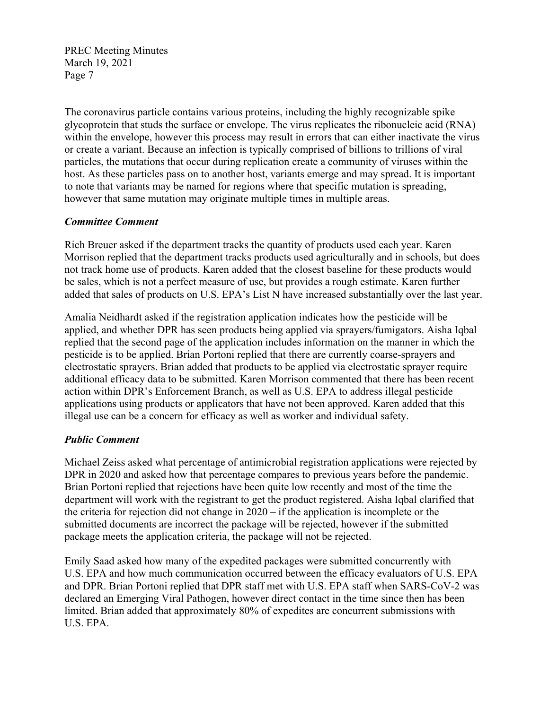The coronavirus particle contains various proteins, including the highly recognizable spike glycoprotein that studs the surface or envelope. The virus replicates the ribonucleic acid (RNA) within the envelope, however this process may result in errors that can either inactivate the virus or create a variant. Because an infection is typically comprised of billions to trillions of viral particles, the mutations that occur during replication create a community of viruses within the host. As these particles pass on to another host, variants emerge and may spread. It is important to note that variants may be named for regions where that specific mutation is spreading, however that same mutation may originate multiple times in multiple areas.

# *Committee Comment*

Rich Breuer asked if the department tracks the quantity of products used each year. Karen Morrison replied that the department tracks products used agriculturally and in schools, but does not track home use of products. Karen added that the closest baseline for these products would be sales, which is not a perfect measure of use, but provides a rough estimate. Karen further added that sales of products on U.S. EPA's List N have increased substantially over the last year.

Amalia Neidhardt asked if the registration application indicates how the pesticide will be applied, and whether DPR has seen products being applied via sprayers/fumigators. Aisha Iqbal replied that the second page of the application includes information on the manner in which the pesticide is to be applied. Brian Portoni replied that there are currently coarse-sprayers and electrostatic sprayers. Brian added that products to be applied via electrostatic sprayer require additional efficacy data to be submitted. Karen Morrison commented that there has been recent action within DPR's Enforcement Branch, as well as U.S. EPA to address illegal pesticide applications using products or applicators that have not been approved. Karen added that this illegal use can be a concern for efficacy as well as worker and individual safety.

# *Public Comment*

Michael Zeiss asked what percentage of antimicrobial registration applications were rejected by DPR in 2020 and asked how that percentage compares to previous years before the pandemic. Brian Portoni replied that rejections have been quite low recently and most of the time the department will work with the registrant to get the product registered. Aisha Iqbal clarified that the criteria for rejection did not change in 2020 – if the application is incomplete or the submitted documents are incorrect the package will be rejected, however if the submitted package meets the application criteria, the package will not be rejected.

Emily Saad asked how many of the expedited packages were submitted concurrently with U.S. EPA and how much communication occurred between the efficacy evaluators of U.S. EPA and DPR. Brian Portoni replied that DPR staff met with U.S. EPA staff when SARS-CoV-2 was declared an Emerging Viral Pathogen, however direct contact in the time since then has been limited. Brian added that approximately 80% of expedites are concurrent submissions with U.S. EPA.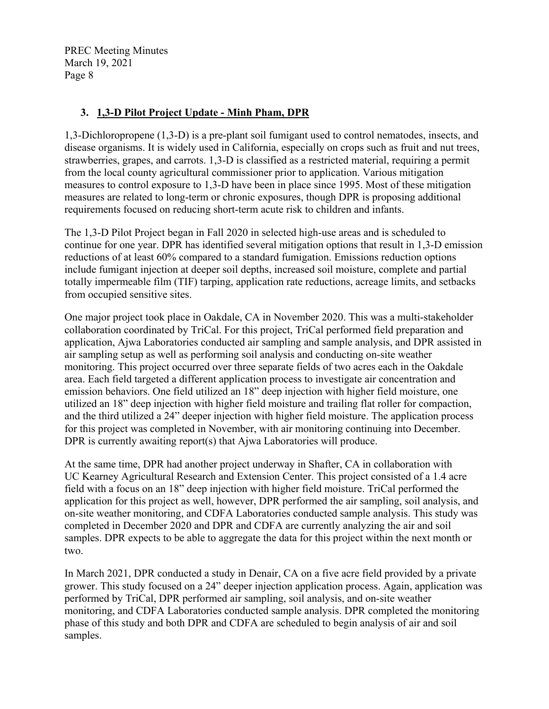# **3. 1,3-D Pilot Project Update - Minh Pham, DPR**

1,3-Dichloropropene (1,3-D) is a pre-plant soil fumigant used to control nematodes, insects, and disease organisms. It is widely used in California, especially on crops such as fruit and nut trees, strawberries, grapes, and carrots. 1,3-D is classified as a restricted material, requiring a permit from the local county agricultural commissioner prior to application. Various mitigation measures to control exposure to 1,3-D have been in place since 1995. Most of these mitigation measures are related to long-term or chronic exposures, though DPR is proposing additional requirements focused on reducing short-term acute risk to children and infants.

The 1,3-D Pilot Project began in Fall 2020 in selected high-use areas and is scheduled to continue for one year. DPR has identified several mitigation options that result in 1,3-D emission reductions of at least 60% compared to a standard fumigation. Emissions reduction options include fumigant injection at deeper soil depths, increased soil moisture, complete and partial totally impermeable film (TIF) tarping, application rate reductions, acreage limits, and setbacks from occupied sensitive sites.

One major project took place in Oakdale, CA in November 2020. This was a multi-stakeholder collaboration coordinated by TriCal. For this project, TriCal performed field preparation and application, Ajwa Laboratories conducted air sampling and sample analysis, and DPR assisted in air sampling setup as well as performing soil analysis and conducting on-site weather monitoring. This project occurred over three separate fields of two acres each in the Oakdale area. Each field targeted a different application process to investigate air concentration and emission behaviors. One field utilized an 18" deep injection with higher field moisture, one utilized an 18" deep injection with higher field moisture and trailing flat roller for compaction, and the third utilized a 24" deeper injection with higher field moisture. The application process for this project was completed in November, with air monitoring continuing into December. DPR is currently awaiting report(s) that Ajwa Laboratories will produce.

At the same time, DPR had another project underway in Shafter, CA in collaboration with UC Kearney Agricultural Research and Extension Center. This project consisted of a 1.4 acre field with a focus on an 18" deep injection with higher field moisture. TriCal performed the application for this project as well, however, DPR performed the air sampling, soil analysis, and on-site weather monitoring, and CDFA Laboratories conducted sample analysis. This study was completed in December 2020 and DPR and CDFA are currently analyzing the air and soil samples. DPR expects to be able to aggregate the data for this project within the next month or two.

In March 2021, DPR conducted a study in Denair, CA on a five acre field provided by a private grower. This study focused on a 24" deeper injection application process. Again, application was performed by TriCal, DPR performed air sampling, soil analysis, and on-site weather monitoring, and CDFA Laboratories conducted sample analysis. DPR completed the monitoring phase of this study and both DPR and CDFA are scheduled to begin analysis of air and soil samples.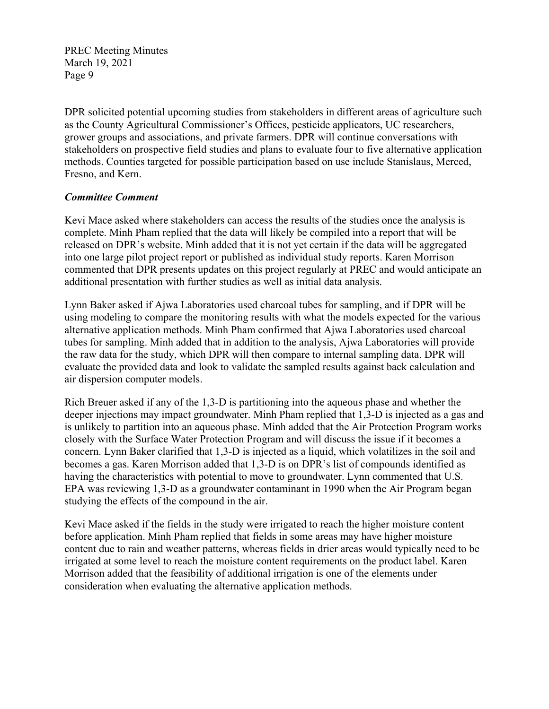DPR solicited potential upcoming studies from stakeholders in different areas of agriculture such as the County Agricultural Commissioner's Offices, pesticide applicators, UC researchers, grower groups and associations, and private farmers. DPR will continue conversations with stakeholders on prospective field studies and plans to evaluate four to five alternative application methods. Counties targeted for possible participation based on use include Stanislaus, Merced, Fresno, and Kern.

# *Committee Comment*

Kevi Mace asked where stakeholders can access the results of the studies once the analysis is complete. Minh Pham replied that the data will likely be compiled into a report that will be released on DPR's website. Minh added that it is not yet certain if the data will be aggregated into one large pilot project report or published as individual study reports. Karen Morrison commented that DPR presents updates on this project regularly at PREC and would anticipate an additional presentation with further studies as well as initial data analysis.

Lynn Baker asked if Ajwa Laboratories used charcoal tubes for sampling, and if DPR will be using modeling to compare the monitoring results with what the models expected for the various alternative application methods. Minh Pham confirmed that Ajwa Laboratories used charcoal tubes for sampling. Minh added that in addition to the analysis, Ajwa Laboratories will provide the raw data for the study, which DPR will then compare to internal sampling data. DPR will evaluate the provided data and look to validate the sampled results against back calculation and air dispersion computer models.

Rich Breuer asked if any of the 1,3-D is partitioning into the aqueous phase and whether the deeper injections may impact groundwater. Minh Pham replied that 1,3-D is injected as a gas and is unlikely to partition into an aqueous phase. Minh added that the Air Protection Program works closely with the Surface Water Protection Program and will discuss the issue if it becomes a concern. Lynn Baker clarified that 1,3-D is injected as a liquid, which volatilizes in the soil and becomes a gas. Karen Morrison added that 1,3-D is on DPR's list of compounds identified as having the characteristics with potential to move to groundwater. Lynn commented that U.S. EPA was reviewing 1,3-D as a groundwater contaminant in 1990 when the Air Program began studying the effects of the compound in the air.

Kevi Mace asked if the fields in the study were irrigated to reach the higher moisture content before application. Minh Pham replied that fields in some areas may have higher moisture content due to rain and weather patterns, whereas fields in drier areas would typically need to be irrigated at some level to reach the moisture content requirements on the product label. Karen Morrison added that the feasibility of additional irrigation is one of the elements under consideration when evaluating the alternative application methods.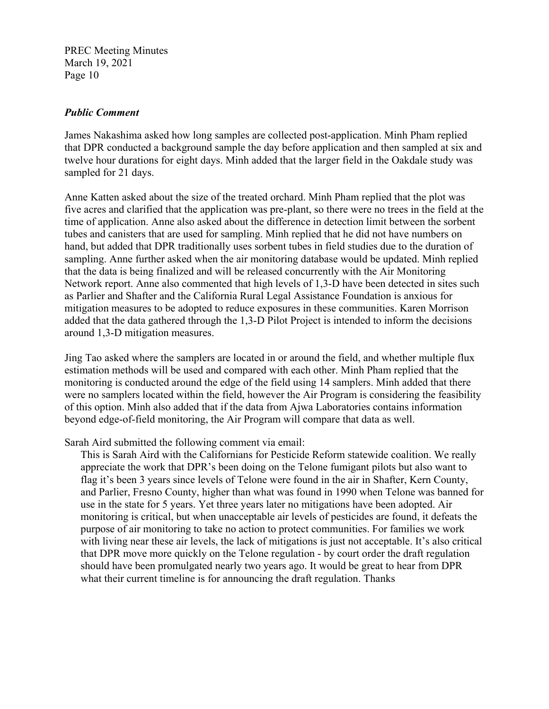#### *Public Comment*

James Nakashima asked how long samples are collected post-application. Minh Pham replied that DPR conducted a background sample the day before application and then sampled at six and twelve hour durations for eight days. Minh added that the larger field in the Oakdale study was sampled for 21 days.

Anne Katten asked about the size of the treated orchard. Minh Pham replied that the plot was five acres and clarified that the application was pre-plant, so there were no trees in the field at the time of application. Anne also asked about the difference in detection limit between the sorbent tubes and canisters that are used for sampling. Minh replied that he did not have numbers on hand, but added that DPR traditionally uses sorbent tubes in field studies due to the duration of sampling. Anne further asked when the air monitoring database would be updated. Minh replied that the data is being finalized and will be released concurrently with the Air Monitoring Network report. Anne also commented that high levels of 1,3-D have been detected in sites such as Parlier and Shafter and the California Rural Legal Assistance Foundation is anxious for mitigation measures to be adopted to reduce exposures in these communities. Karen Morrison added that the data gathered through the 1,3-D Pilot Project is intended to inform the decisions around 1,3-D mitigation measures.

Jing Tao asked where the samplers are located in or around the field, and whether multiple flux estimation methods will be used and compared with each other. Minh Pham replied that the monitoring is conducted around the edge of the field using 14 samplers. Minh added that there were no samplers located within the field, however the Air Program is considering the feasibility of this option. Minh also added that if the data from Ajwa Laboratories contains information beyond edge-of-field monitoring, the Air Program will compare that data as well.

Sarah Aird submitted the following comment via email:

This is Sarah Aird with the Californians for Pesticide Reform statewide coalition. We really appreciate the work that DPR's been doing on the Telone fumigant pilots but also want to flag it's been 3 years since levels of Telone were found in the air in Shafter, Kern County, and Parlier, Fresno County, higher than what was found in 1990 when Telone was banned for use in the state for 5 years. Yet three years later no mitigations have been adopted. Air monitoring is critical, but when unacceptable air levels of pesticides are found, it defeats the purpose of air monitoring to take no action to protect communities. For families we work with living near these air levels, the lack of mitigations is just not acceptable. It's also critical that DPR move more quickly on the Telone regulation - by court order the draft regulation should have been promulgated nearly two years ago. It would be great to hear from DPR what their current timeline is for announcing the draft regulation. Thanks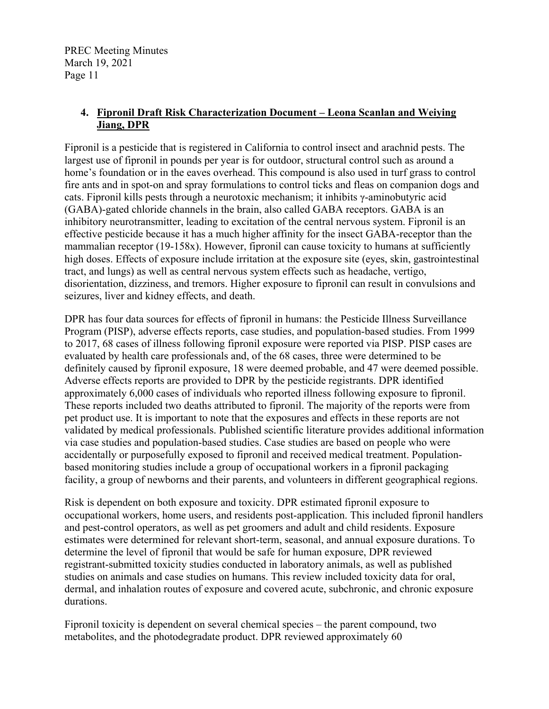# **4. Fipronil Draft Risk Characterization Document – Leona Scanlan and Weiying Jiang, DPR**

Fipronil is a pesticide that is registered in California to control insect and arachnid pests. The largest use of fipronil in pounds per year is for outdoor, structural control such as around a home's foundation or in the eaves overhead. This compound is also used in turf grass to control fire ants and in spot-on and spray formulations to control ticks and fleas on companion dogs and cats. Fipronil kills pests through a neurotoxic mechanism; it inhibits γ-aminobutyric acid (GABA)-gated chloride channels in the brain, also called GABA receptors. GABA is an inhibitory neurotransmitter, leading to excitation of the central nervous system. Fipronil is an effective pesticide because it has a much higher affinity for the insect GABA-receptor than the mammalian receptor (19-158x). However, fipronil can cause toxicity to humans at sufficiently high doses. Effects of exposure include irritation at the exposure site (eyes, skin, gastrointestinal tract, and lungs) as well as central nervous system effects such as headache, vertigo, disorientation, dizziness, and tremors. Higher exposure to fipronil can result in convulsions and seizures, liver and kidney effects, and death.

DPR has four data sources for effects of fipronil in humans: the Pesticide Illness Surveillance Program (PISP), adverse effects reports, case studies, and population-based studies. From 1999 to 2017, 68 cases of illness following fipronil exposure were reported via PISP. PISP cases are evaluated by health care professionals and, of the 68 cases, three were determined to be definitely caused by fipronil exposure, 18 were deemed probable, and 47 were deemed possible. Adverse effects reports are provided to DPR by the pesticide registrants. DPR identified approximately 6,000 cases of individuals who reported illness following exposure to fipronil. These reports included two deaths attributed to fipronil. The majority of the reports were from pet product use. It is important to note that the exposures and effects in these reports are not validated by medical professionals. Published scientific literature provides additional information via case studies and population-based studies. Case studies are based on people who were accidentally or purposefully exposed to fipronil and received medical treatment. Populationbased monitoring studies include a group of occupational workers in a fipronil packaging facility, a group of newborns and their parents, and volunteers in different geographical regions.

Risk is dependent on both exposure and toxicity. DPR estimated fipronil exposure to occupational workers, home users, and residents post-application. This included fipronil handlers and pest-control operators, as well as pet groomers and adult and child residents. Exposure estimates were determined for relevant short-term, seasonal, and annual exposure durations. To determine the level of fipronil that would be safe for human exposure, DPR reviewed registrant-submitted toxicity studies conducted in laboratory animals, as well as published studies on animals and case studies on humans. This review included toxicity data for oral, dermal, and inhalation routes of exposure and covered acute, subchronic, and chronic exposure durations.

Fipronil toxicity is dependent on several chemical species – the parent compound, two metabolites, and the photodegradate product. DPR reviewed approximately 60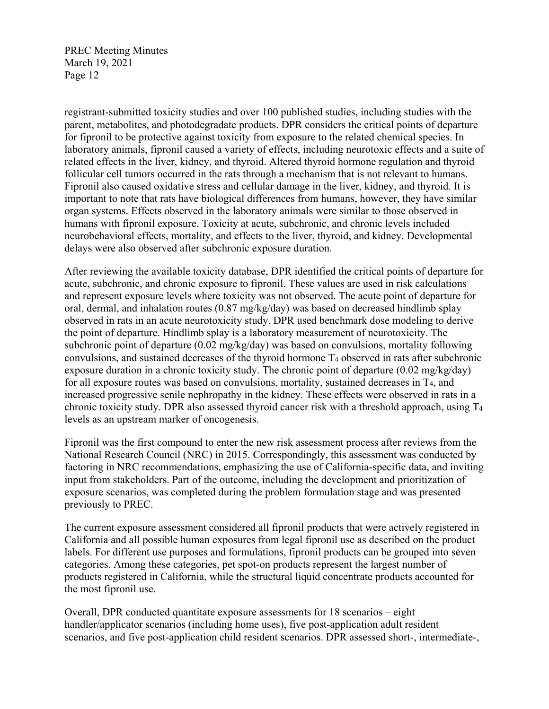registrant-submitted toxicity studies and over 100 published studies, including studies with the parent, metabolites, and photodegradate products. DPR considers the critical points of departure for fipronil to be protective against toxicity from exposure to the related chemical species. In laboratory animals, fipronil caused a variety of effects, including neurotoxic effects and a suite of related effects in the liver, kidney, and thyroid. Altered thyroid hormone regulation and thyroid follicular cell tumors occurred in the rats through a mechanism that is not relevant to humans. Fipronil also caused oxidative stress and cellular damage in the liver, kidney, and thyroid. It is important to note that rats have biological differences from humans, however, they have similar organ systems. Effects observed in the laboratory animals were similar to those observed in humans with fipronil exposure. Toxicity at acute, subchronic, and chronic levels included neurobehavioral effects, mortality, and effects to the liver, thyroid, and kidney. Developmental delays were also observed after subchronic exposure duration.

After reviewing the available toxicity database, DPR identified the critical points of departure for acute, subchronic, and chronic exposure to fipronil. These values are used in risk calculations and represent exposure levels where toxicity was not observed. The acute point of departure for oral, dermal, and inhalation routes (0.87 mg/kg/day) was based on decreased hindlimb splay observed in rats in an acute neurotoxicity study. DPR used benchmark dose modeling to derive the point of departure. Hindlimb splay is a laboratory measurement of neurotoxicity. The subchronic point of departure (0.02 mg/kg/day) was based on convulsions, mortality following convulsions, and sustained decreases of the thyroid hormone T4 observed in rats after subchronic exposure duration in a chronic toxicity study. The chronic point of departure (0.02 mg/kg/day) for all exposure routes was based on convulsions, mortality, sustained decreases in T<sub>4</sub>, and increased progressive senile nephropathy in the kidney. These effects were observed in rats in a chronic toxicity study. DPR also assessed thyroid cancer risk with a threshold approach, using T4 levels as an upstream marker of oncogenesis.

Fipronil was the first compound to enter the new risk assessment process after reviews from the National Research Council (NRC) in 2015. Correspondingly, this assessment was conducted by factoring in NRC recommendations, emphasizing the use of California-specific data, and inviting input from stakeholders. Part of the outcome, including the development and prioritization of exposure scenarios, was completed during the problem formulation stage and was presented previously to PREC.

The current exposure assessment considered all fipronil products that were actively registered in California and all possible human exposures from legal fipronil use as described on the product labels. For different use purposes and formulations, fipronil products can be grouped into seven categories. Among these categories, pet spot-on products represent the largest number of products registered in California, while the structural liquid concentrate products accounted for the most fipronil use.

Overall, DPR conducted quantitate exposure assessments for 18 scenarios – eight handler/applicator scenarios (including home uses), five post-application adult resident scenarios, and five post-application child resident scenarios. DPR assessed short-, intermediate-,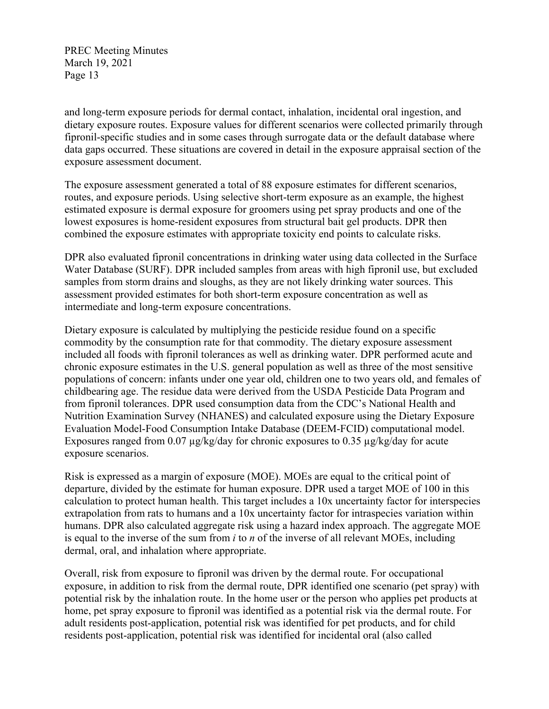and long-term exposure periods for dermal contact, inhalation, incidental oral ingestion, and dietary exposure routes. Exposure values for different scenarios were collected primarily through fipronil-specific studies and in some cases through surrogate data or the default database where data gaps occurred. These situations are covered in detail in the exposure appraisal section of the exposure assessment document.

The exposure assessment generated a total of 88 exposure estimates for different scenarios, routes, and exposure periods. Using selective short-term exposure as an example, the highest estimated exposure is dermal exposure for groomers using pet spray products and one of the lowest exposures is home-resident exposures from structural bait gel products. DPR then combined the exposure estimates with appropriate toxicity end points to calculate risks.

DPR also evaluated fipronil concentrations in drinking water using data collected in the Surface Water Database (SURF). DPR included samples from areas with high fipronil use, but excluded samples from storm drains and sloughs, as they are not likely drinking water sources. This assessment provided estimates for both short-term exposure concentration as well as intermediate and long-term exposure concentrations.

Dietary exposure is calculated by multiplying the pesticide residue found on a specific commodity by the consumption rate for that commodity. The dietary exposure assessment included all foods with fipronil tolerances as well as drinking water. DPR performed acute and chronic exposure estimates in the U.S. general population as well as three of the most sensitive populations of concern: infants under one year old, children one to two years old, and females of childbearing age. The residue data were derived from the USDA Pesticide Data Program and from fipronil tolerances. DPR used consumption data from the CDC's National Health and Nutrition Examination Survey (NHANES) and calculated exposure using the Dietary Exposure Evaluation Model-Food Consumption Intake Database (DEEM-FCID) computational model. Exposures ranged from 0.07  $\mu$ g/kg/day for chronic exposures to 0.35  $\mu$ g/kg/day for acute exposure scenarios.

Risk is expressed as a margin of exposure (MOE). MOEs are equal to the critical point of departure, divided by the estimate for human exposure. DPR used a target MOE of 100 in this calculation to protect human health. This target includes a 10x uncertainty factor for interspecies extrapolation from rats to humans and a 10x uncertainty factor for intraspecies variation within humans. DPR also calculated aggregate risk using a hazard index approach. The aggregate MOE is equal to the inverse of the sum from *i* to *n* of the inverse of all relevant MOEs, including dermal, oral, and inhalation where appropriate.

Overall, risk from exposure to fipronil was driven by the dermal route. For occupational exposure, in addition to risk from the dermal route, DPR identified one scenario (pet spray) with potential risk by the inhalation route. In the home user or the person who applies pet products at home, pet spray exposure to fipronil was identified as a potential risk via the dermal route. For adult residents post-application, potential risk was identified for pet products, and for child residents post-application, potential risk was identified for incidental oral (also called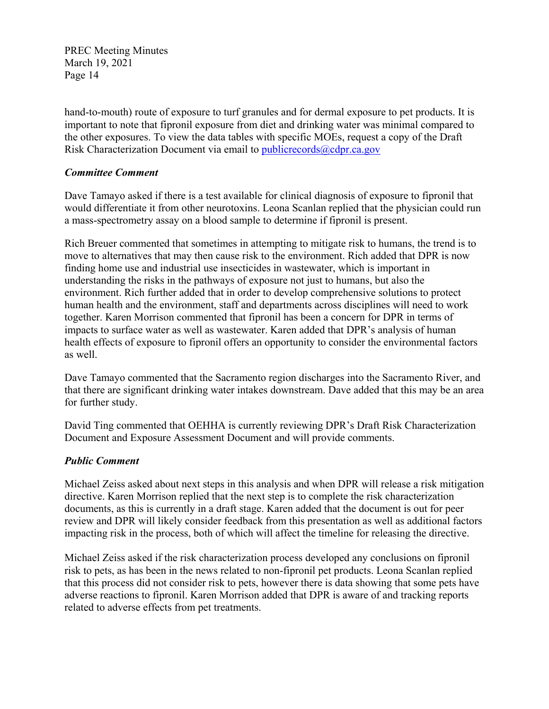hand-to-mouth) route of exposure to turf granules and for dermal exposure to pet products. It is important to note that fipronil exposure from diet and drinking water was minimal compared to the other exposures. To view the data tables with specific MOEs, request a copy of the Draft Risk Characterization Document via email to publicrecords@cdpr.ca.gov

#### *Committee Comment*

Dave Tamayo asked if there is a test available for clinical diagnosis of exposure to fipronil that would differentiate it from other neurotoxins. Leona Scanlan replied that the physician could run a mass-spectrometry assay on a blood sample to determine if fipronil is present.

Rich Breuer commented that sometimes in attempting to mitigate risk to humans, the trend is to move to alternatives that may then cause risk to the environment. Rich added that DPR is now finding home use and industrial use insecticides in wastewater, which is important in understanding the risks in the pathways of exposure not just to humans, but also the environment. Rich further added that in order to develop comprehensive solutions to protect human health and the environment, staff and departments across disciplines will need to work together. Karen Morrison commented that fipronil has been a concern for DPR in terms of impacts to surface water as well as wastewater. Karen added that DPR's analysis of human health effects of exposure to fipronil offers an opportunity to consider the environmental factors as well.

Dave Tamayo commented that the Sacramento region discharges into the Sacramento River, and that there are significant drinking water intakes downstream. Dave added that this may be an area for further study.

David Ting commented that OEHHA is currently reviewing DPR's Draft Risk Characterization Document and Exposure Assessment Document and will provide comments.

# *Public Comment*

Michael Zeiss asked about next steps in this analysis and when DPR will release a risk mitigation directive. Karen Morrison replied that the next step is to complete the risk characterization documents, as this is currently in a draft stage. Karen added that the document is out for peer review and DPR will likely consider feedback from this presentation as well as additional factors impacting risk in the process, both of which will affect the timeline for releasing the directive.

Michael Zeiss asked if the risk characterization process developed any conclusions on fipronil risk to pets, as has been in the news related to non-fipronil pet products. Leona Scanlan replied that this process did not consider risk to pets, however there is data showing that some pets have adverse reactions to fipronil. Karen Morrison added that DPR is aware of and tracking reports related to adverse effects from pet treatments.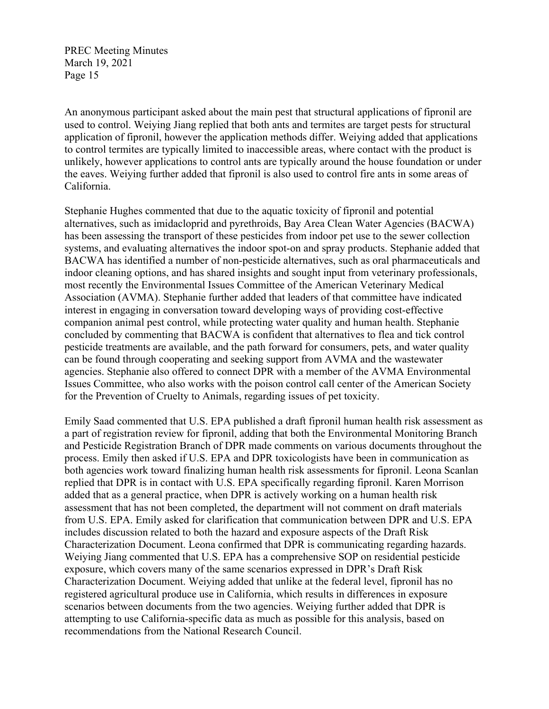An anonymous participant asked about the main pest that structural applications of fipronil are used to control. Weiying Jiang replied that both ants and termites are target pests for structural application of fipronil, however the application methods differ. Weiying added that applications to control termites are typically limited to inaccessible areas, where contact with the product is unlikely, however applications to control ants are typically around the house foundation or under the eaves. Weiying further added that fipronil is also used to control fire ants in some areas of California.

Stephanie Hughes commented that due to the aquatic toxicity of fipronil and potential alternatives, such as imidacloprid and pyrethroids, Bay Area Clean Water Agencies (BACWA) has been assessing the transport of these pesticides from indoor pet use to the sewer collection systems, and evaluating alternatives the indoor spot-on and spray products. Stephanie added that BACWA has identified a number of non-pesticide alternatives, such as oral pharmaceuticals and indoor cleaning options, and has shared insights and sought input from veterinary professionals, most recently the Environmental Issues Committee of the American Veterinary Medical Association (AVMA). Stephanie further added that leaders of that committee have indicated interest in engaging in conversation toward developing ways of providing cost-effective companion animal pest control, while protecting water quality and human health. Stephanie concluded by commenting that BACWA is confident that alternatives to flea and tick control pesticide treatments are available, and the path forward for consumers, pets, and water quality can be found through cooperating and seeking support from AVMA and the wastewater agencies. Stephanie also offered to connect DPR with a member of the AVMA Environmental Issues Committee, who also works with the poison control call center of the American Society for the Prevention of Cruelty to Animals, regarding issues of pet toxicity.

Emily Saad commented that U.S. EPA published a draft fipronil human health risk assessment as a part of registration review for fipronil, adding that both the Environmental Monitoring Branch and Pesticide Registration Branch of DPR made comments on various documents throughout the process. Emily then asked if U.S. EPA and DPR toxicologists have been in communication as both agencies work toward finalizing human health risk assessments for fipronil. Leona Scanlan replied that DPR is in contact with U.S. EPA specifically regarding fipronil. Karen Morrison added that as a general practice, when DPR is actively working on a human health risk assessment that has not been completed, the department will not comment on draft materials from U.S. EPA. Emily asked for clarification that communication between DPR and U.S. EPA includes discussion related to both the hazard and exposure aspects of the Draft Risk Characterization Document. Leona confirmed that DPR is communicating regarding hazards. Weiying Jiang commented that U.S. EPA has a comprehensive SOP on residential pesticide exposure, which covers many of the same scenarios expressed in DPR's Draft Risk Characterization Document. Weiying added that unlike at the federal level, fipronil has no registered agricultural produce use in California, which results in differences in exposure scenarios between documents from the two agencies. Weiying further added that DPR is attempting to use California-specific data as much as possible for this analysis, based on recommendations from the National Research Council.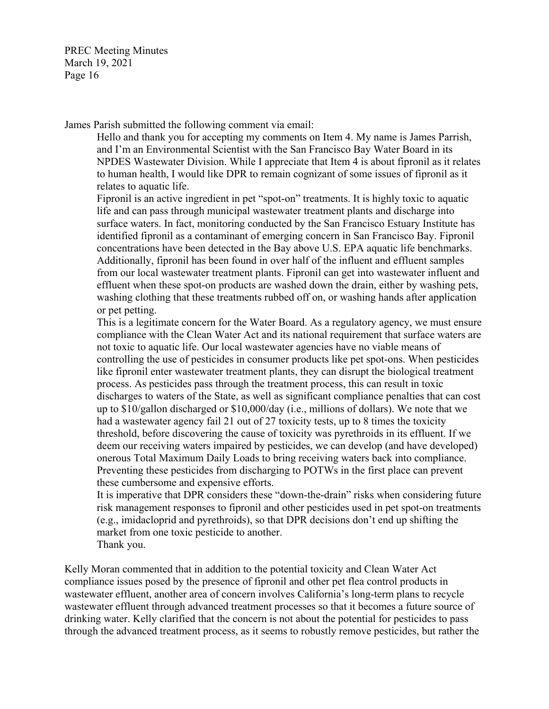James Parish submitted the following comment via email:

Hello and thank you for accepting my comments on Item 4. My name is James Parrish, and I'm an Environmental Scientist with the San Francisco Bay Water Board in its NPDES Wastewater Division. While I appreciate that Item 4 is about fipronil as it relates to human health, I would like DPR to remain cognizant of some issues of fipronil as it relates to aquatic life.

Fipronil is an active ingredient in pet "spot-on" treatments. It is highly toxic to aquatic life and can pass through municipal wastewater treatment plants and discharge into surface waters. In fact, monitoring conducted by the San Francisco Estuary Institute has identified fipronil as a contaminant of emerging concern in San Francisco Bay. Fipronil concentrations have been detected in the Bay above U.S. EPA aquatic life benchmarks. Additionally, fipronil has been found in over half of the influent and effluent samples from our local wastewater treatment plants. Fipronil can get into wastewater influent and effluent when these spot-on products are washed down the drain, either by washing pets, washing clothing that these treatments rubbed off on, or washing hands after application or pet petting.

This is a legitimate concern for the Water Board. As a regulatory agency, we must ensure compliance with the Clean Water Act and its national requirement that surface waters are not toxic to aquatic life. Our local wastewater agencies have no viable means of controlling the use of pesticides in consumer products like pet spot-ons. When pesticides like fipronil enter wastewater treatment plants, they can disrupt the biological treatment process. As pesticides pass through the treatment process, this can result in toxic discharges to waters of the State, as well as significant compliance penalties that can cost up to \$10/gallon discharged or \$10,000/day (i.e., millions of dollars). We note that we had a wastewater agency fail 21 out of 27 toxicity tests, up to 8 times the toxicity threshold, before discovering the cause of toxicity was pyrethroids in its effluent. If we deem our receiving waters impaired by pesticides, we can develop (and have developed) onerous Total Maximum Daily Loads to bring receiving waters back into compliance. Preventing these pesticides from discharging to POTWs in the first place can prevent these cumbersome and expensive efforts.

It is imperative that DPR considers these "down-the-drain" risks when considering future risk management responses to fipronil and other pesticides used in pet spot-on treatments (e.g., imidacloprid and pyrethroids), so that DPR decisions don't end up shifting the market from one toxic pesticide to another.

Thank you.

Kelly Moran commented that in addition to the potential toxicity and Clean Water Act compliance issues posed by the presence of fipronil and other pet flea control products in wastewater effluent, another area of concern involves California's long-term plans to recycle wastewater effluent through advanced treatment processes so that it becomes a future source of drinking water. Kelly clarified that the concern is not about the potential for pesticides to pass through the advanced treatment process, as it seems to robustly remove pesticides, but rather the